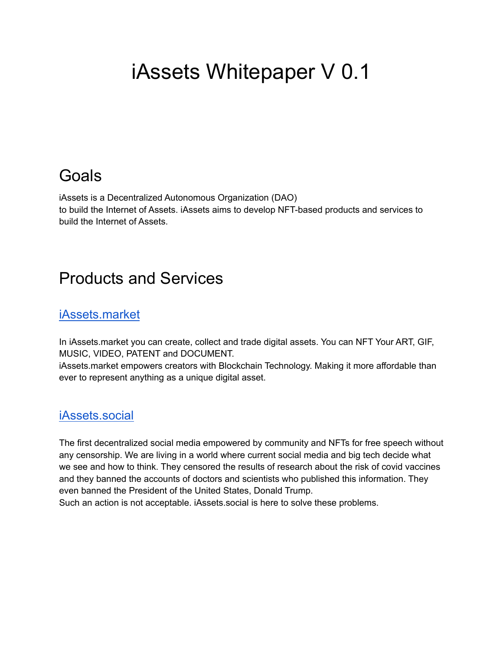# iAssets Whitepaper V 0.1

## Goals

iAssets is a Decentralized Autonomous Organization (DAO) to build the Internet of Assets. iAssets aims to develop NFT-based products and services to build the Internet of Assets.

### Products and Services

#### [iAssets.market](https://iassets.market)

In iAssets.market you can create, collect and trade digital assets. You can NFT Your ART, GIF, MUSIC, VIDEO, PATENT and DOCUMENT.

iAssets.market empowers creators with Blockchain Technology. Making it more affordable than ever to represent anything as a unique digital asset.

#### [iAssets.social](https://iassets.social)

The first decentralized social media empowered by community and NFTs for free speech without any censorship. We are living in a world where current social media and big tech decide what we see and how to think. They censored the results of research about the risk of covid vaccines and they banned the accounts of doctors and scientists who published this information. They even banned the President of the United States, Donald Trump.

Such an action is not acceptable. iAssets.social is here to solve these problems.